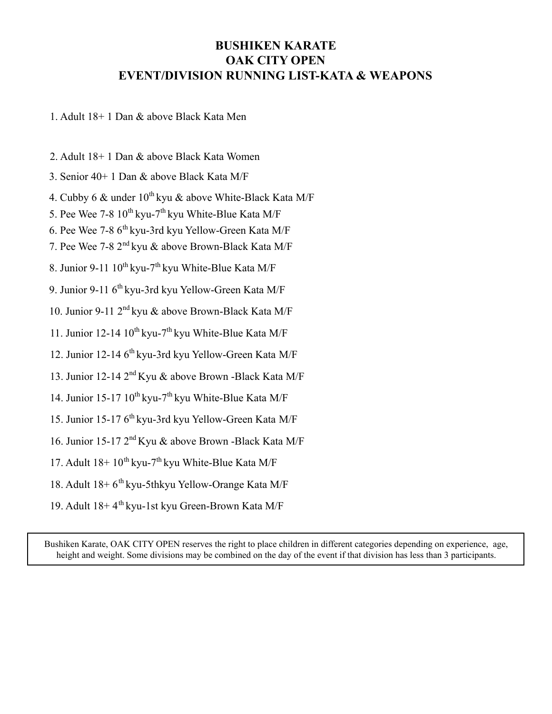## **BUSHIKEN KARATE OAK CITY OPEN EVENT/DIVISION RUNNING LIST-KATA & WEAPONS**

1. Adult 18+ 1 Dan & above Black Kata Men

- 2. Adult 18+ 1 Dan & above Black Kata Women
- 3. Senior 40+ 1 Dan & above Black Kata M/F
- 4. Cubby 6 & under  $10^{th}$  kyu & above White-Black Kata M/F
- 5. Pee Wee 7-8  $10^{th}$  kyu-7<sup>th</sup> kyu White-Blue Kata M/F
- 6. Pee Wee 7-8 6th kyu-3rd kyu Yellow-Green Kata M/F
- 7. Pee Wee 7-8 2nd kyu & above Brown-Black Kata M/F
- 8. Junior 9-11  $10^{th}$  kyu-7<sup>th</sup> kyu White-Blue Kata M/F
- 9. Junior 9-11 6<sup>th</sup> kyu-3rd kyu Yellow-Green Kata M/F
- 10. Junior 9-11 2nd kyu & above Brown-Black Kata M/F
- 11. Junior 12-14  $10^{th}$  kyu-7<sup>th</sup> kyu White-Blue Kata M/F
- 12. Junior 12-14 6<sup>th</sup> kyu-3rd kyu Yellow-Green Kata M/F
- 13. Junior 12-14 2nd Kyu & above Brown -Black Kata M/F
- 14. Junior 15-17  $10^{th}$  kyu-7<sup>th</sup> kyu White-Blue Kata M/F
- 15. Junior 15-17 6<sup>th</sup> kyu-3rd kyu Yellow-Green Kata M/F
- 16. Junior 15-17 2nd Kyu & above Brown -Black Kata M/F
- 17. Adult  $18+10^{th}$  kyu-7<sup>th</sup> kyu White-Blue Kata M/F
- 18. Adult  $18+6$ <sup>th</sup> kyu-5thkyu Yellow-Orange Kata M/F
- 19. Adult 18+ 4th kyu-1st kyu Green-Brown Kata M/F

Bushiken Karate, OAK CITY OPEN reserves the right to place children in different categories depending on experience, age, height and weight. Some divisions may be combined on the day of the event if that division has less than 3 participants.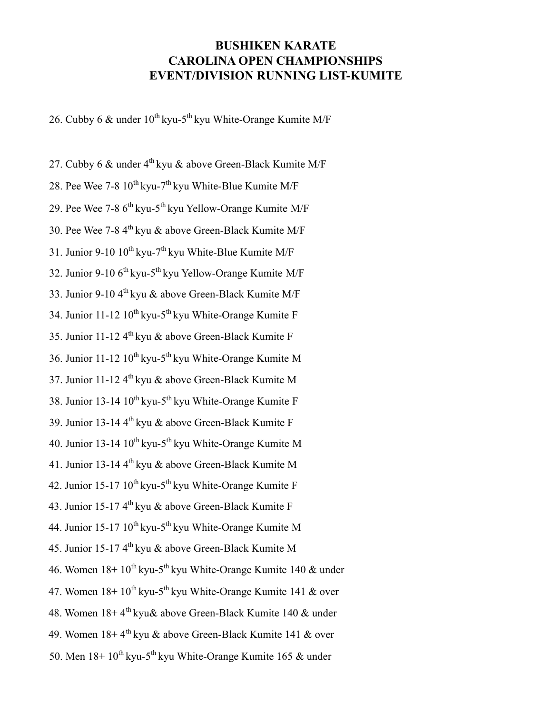## **BUSHIKEN KARATE CAROLINA OPEN CHAMPIONSHIPS EVENT/DIVISION RUNNING LIST-KUMITE**

26. Cubby 6  $\&$  under 10<sup>th</sup> kyu-5<sup>th</sup> kyu White-Orange Kumite M/F

27. Cubby 6 & under 4<sup>th</sup> kyu & above Green-Black Kumite M/F 28. Pee Wee 7-8  $10^{th}$  kyu-7<sup>th</sup> kyu White-Blue Kumite M/F 29. Pee Wee 7-8 6<sup>th</sup> kyu-5<sup>th</sup> kyu Yellow-Orange Kumite M/F 30. Pee Wee 7-8  $4<sup>th</sup>$  kyu & above Green-Black Kumite M/F 31. Junior 9-10  $10^{th}$  kyu-7<sup>th</sup> kyu White-Blue Kumite M/F 32. Junior 9-10  $6<sup>th</sup>$  kyu-5<sup>th</sup> kyu Yellow-Orange Kumite M/F 33. Junior 9-10 4<sup>th</sup> kyu & above Green-Black Kumite M/F 34. Junior 11-12  $10^{th}$  kyu-5<sup>th</sup> kyu White-Orange Kumite F 35. Junior 11-12 4<sup>th</sup> kyu & above Green-Black Kumite F 36. Junior 11-12  $10^{th}$  kyu-5<sup>th</sup> kyu White-Orange Kumite M 37. Junior 11-12 4<sup>th</sup> kyu & above Green-Black Kumite M 38. Junior 13-14  $10^{th}$  kyu-5<sup>th</sup> kyu White-Orange Kumite F 39. Junior 13-14  $4<sup>th</sup>$  kyu & above Green-Black Kumite F 40. Junior 13-14  $10^{th}$  kyu-5<sup>th</sup> kyu White-Orange Kumite M 41. Junior 13-14 4th kyu & above Green-Black Kumite M 42. Junior 15-17  $10^{th}$  kyu-5<sup>th</sup> kyu White-Orange Kumite F 43. Junior 15-17  $4<sup>th</sup>$  kyu & above Green-Black Kumite F 44. Junior 15-17  $10^{th}$  kyu-5<sup>th</sup> kyu White-Orange Kumite M 45. Junior 15-17 4<sup>th</sup> kyu & above Green-Black Kumite M 46. Women  $18+10^{th}$  kyu-5<sup>th</sup> kyu White-Orange Kumite 140 & under 47. Women  $18+10^{th}$  kyu-5<sup>th</sup> kyu White-Orange Kumite 141 & over 48. Women 18+ 4th kyu& above Green-Black Kumite 140 & under 49. Women  $18+4^{\text{th}}$  kyu & above Green-Black Kumite 141 & over 50. Men  $18+10^{th}$  kyu-5<sup>th</sup> kyu White-Orange Kumite 165 & under